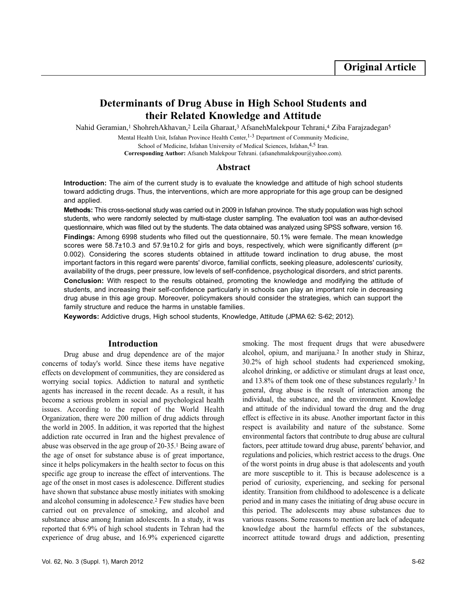# **Determinants of Drug Abuse in High School Students and their Related Knowledge and Attitude**

Nahid Geramian,<sup>1</sup> ShohrehAkhavan,<sup>2</sup> Leila Gharaat,<sup>3</sup> AfsanehMalekpour Tehrani,<sup>4</sup> Ziba Farajzadegan<sup>5</sup>

Mental Health Unit, Isfahan Province Health Center, <sup>1-3</sup> Department of Community Medicine,

School of Medicine, Isfahan University of Medical Sciences, Isfahan, 4,5 Iran.

**Corresponding Author:** Afsaneh Malekpour Tehrani. (afsanehmalekpour@yahoo.com).

## **Abstract**

**Introduction:** The aim of the current study is to evaluate the knowledge and attitude of high school students toward addicting drugs. Thus, the interventions, which are more appropriate for this age group can be designed and applied.

**Methods:** This cross-sectional study was carried out in 2009 in Isfahan province. The study population was high school students, who were randomly selected by multi-stage cluster sampling. The evaluation tool was an author-devised questionnaire, which was filled out by the students. The data obtained was analyzed using SPSS software, version 16. **Findings:** Among 6998 students who filled out the questionnaire, 50.1% were female. The mean knowledge scores were 58.7±10.3 and 57.9±10.2 for girls and boys, respectively, which were significantly different (p= 0.002). Considering the scores students obtained in attitude toward inclination to drug abuse, the most important factors in this regard were parents' divorce, familial conflicts, seeking pleasure, adolescents' curiosity, availability of the drugs, peer pressure, low levels of self-confidence, psychological disorders, and strict parents. **Conclusion:** With respect to the results obtained, promoting the knowledge and modifying the attitude of students, and increasing their self-confidence particularly in schools can play an important role in decreasing drug abuse in this age group. Moreover, policymakers should consider the strategies, which can support the family structure and reduce the harms in unstable families.

**Keywords:** Addictive drugs, High school students, Knowledge, Attitude (JPMA 62: S-62; 2012).

### **Introduction**

Drug abuse and drug dependence are of the major concerns of today's world. Since these items have negative effects on development of communities, they are considered as worrying social topics. Addiction to natural and synthetic agents has increased in the recent decade. As a result, it has become a serious problem in social and psychological health issues. According to the report of the World Health Organization, there were 200 million of drug addicts through the world in 2005. In addition, it was reported that the highest addiction rate occurred in Iran and the highest prevalence of abuse was observed in the age group of 20-35.<sup>1</sup> Being aware of the age of onset for substance abuse is of great importance, since it helps policymakers in the health sector to focus on this specific age group to increase the effect of interventions. The age of the onset in most cases is adolescence. Different studies have shown that substance abuse mostly initiates with smoking and alcohol consuming in adolescence.<sup>2</sup> Few studies have been carried out on prevalence of smoking, and alcohol and substance abuse among Iranian adolescents. In a study, it was reported that 6.9% of high school students in Tehran had the experience of drug abuse, and 16.9% experienced cigarette

smoking. The most frequent drugs that were abusedwere alcohol, opium, and marijuana.<sup>2</sup> In another study in Shiraz, 30.2% of high school students had experienced smoking, alcohol drinking, or addictive or stimulant drugs at least once, and 13.8% of them took one of these substances regularly.<sup>3</sup> In general, drug abuse is the result of interaction among the individual, the substance, and the environment. Knowledge and attitude of the individual toward the drug and the drug effect is effective in its abuse. Another important factor in this respect is availability and nature of the substance. Some environmental factors that contribute to drug abuse are cultural factors, peer attitude toward drug abuse, parents' behavior, and regulations and policies, which restrict access to the drugs. One of the worst points in drug abuse is that adolescents and youth are more susceptible to it. This is because adolescence is a period of curiosity, experiencing, and seeking for personal identity. Transition from childhood to adolescence is a delicate period and in many cases the initiating of drug abuse occure in this period. The adolescents may abuse substances due to various reasons. Some reasons to mention are lack of adequate knowledge about the harmful effects of the substances, incorrect attitude toward drugs and addiction, presenting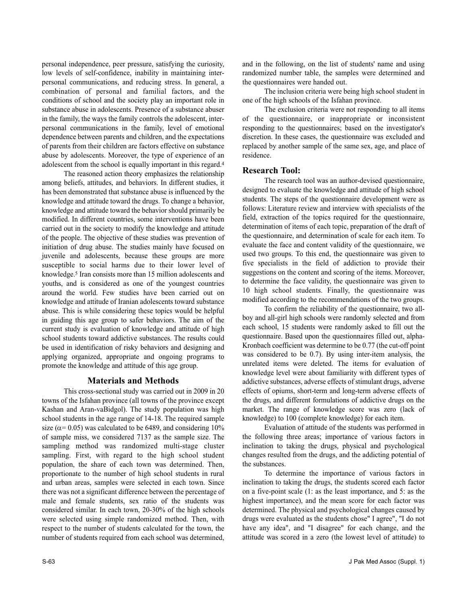personal independence, peer pressure, satisfying the curiosity, low levels of self-confidence, inability in maintaining interpersonal communications, and reducing stress. In general, a combination of personal and familial factors, and the conditions of school and the society play an important role in substance abuse in adolescents. Presence of a substance abuser in the family, the ways the family controls the adolescent, interpersonal communications in the family, level of emotional dependence between parents and children, and the expectations of parents from their children are factors effective on substance abuse by adolescents. Moreover, the type of experience of an adolescent from the school is equally important in this regard.<sup>4</sup>

The reasoned action theory emphasizes the relationship among beliefs, attitudes, and behaviors. In different studies, it has been demonstrated that substance abuse is influenced by the knowledge and attitude toward the drugs. To change a behavior, knowledge and attitude toward the behavior should primarily be modified. In different countries, some interventions have been carried out in the society to modify the knowledge and attitude of the people. The objective of these studies was prevention of initiation of drug abuse. The studies mainly have focused on juvenile and adolescents, because these groups are more susceptible to social harms due to their lower level of knowledge.<sup>5</sup> Iran consists more than 15 million adolescents and youths, and is considered as one of the youngest countries around the world. Few studies have been carried out on knowledge and attitude of Iranian adolescents toward substance abuse. This is while considering these topics would be helpful in guiding this age group to safer behaviors. The aim of the current study is evaluation of knowledge and attitude of high school students toward addictive substances. The results could be used in identification of risky behaviors and designing and applying organized, appropriate and ongoing programs to promote the knowledge and attitude of this age group.

# **Materials and Methods**

This cross-sectional study was carried out in 2009 in 20 towns of the Isfahan province (all towns of the province except Kashan and Aran-vaBidgol). The study population was high school students in the age range of 14-18. The required sample size ( $\alpha$ = 0.05) was calculated to be 6489, and considering 10% of sample miss, we considered 7137 as the sample size. The sampling method was randomized multi-stage cluster sampling. First, with regard to the high school student population, the share of each town was determined. Then, proportionate to the number of high school students in rural and urban areas, samples were selected in each town. Since there was not a significant difference between the percentage of male and female students, sex ratio of the students was considered similar. In each town, 20-30% of the high schools were selected using simple randomized method. Then, with respect to the number of students calculated for the town, the number of students required from each school was determined, and in the following, on the list of students' name and using randomized number table, the samples were determined and the questionnaires were handed out.

The inclusion criteria were being high school student in one of the high schools of the Isfahan province.

The exclusion criteria were not responding to all items of the questionnaire, or inappropriate or inconsistent responding to the questionnaires; based on the investigator's discretion. In these cases, the questionnaire was excluded and replaced by another sample of the same sex, age, and place of residence.

# **Research Tool:**

The research tool was an author-devised questionnaire, designed to evaluate the knowledge and attitude of high school students. The steps of the questionnaire development were as follows: Literature review and interview with specialists of the field, extraction of the topics required for the questionnaire, determination of items of each topic, preparation of the draft of the questionnaire, and determination of scale for each item. To evaluate the face and content validity of the questionnaire, we used two groups. To this end, the questionnaire was given to five specialists in the field of addiction to provide their suggestions on the content and scoring of the items. Moreover, to determine the face validity, the questionnaire was given to 10 high school students. Finally, the questionnaire was modified according to the recommendations of the two groups.

To confirm the reliability of the questionnaire, two allboy and all-girl high schools were randomly selected and from each school, 15 students were randomly asked to fill out the questionnaire. Based upon the questionnaires filled out, alpha-Kronbach coefficient was determine to be 0.77 (the cut-off point was considered to be 0.7). By using inter-item analysis, the unrelated items were deleted. The items for evaluation of knowledge level were about familiarity with different types of addictive substances, adverse effects of stimulant drugs, adverse effects of opiums, short-term and long-term adverse effects of the drugs, and different formulations of addictive drugs on the market. The range of knowledge score was zero (lack of knowledge) to 100 (complete knowledge) for each item.

Evaluation of attitude of the students was performed in the following three areas; importance of various factors in inclination to taking the drugs, physical and psychological changes resulted from the drugs, and the addicting potential of the substances.

To determine the importance of various factors in inclination to taking the drugs, the students scored each factor on a five-point scale (1: as the least importance, and 5: as the highest importance), and the mean score for each factor was determined. The physical and psychological changes caused by drugs were evaluated as the students chose" I agree", "I do not have any idea", and "I disagree" for each change, and the attitude was scored in a zero (the lowest level of attitude) to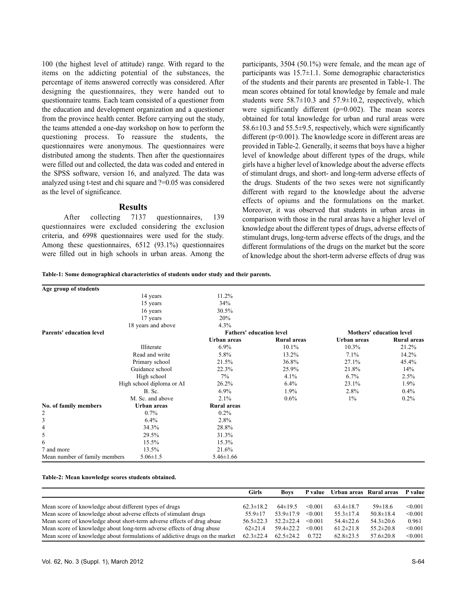100 (the highest level of attitude) range. With regard to the items on the addicting potential of the substances, the percentage of items answered correctly was considered. After designing the questionnaires, they were handed out to questionnaire teams. Each team consisted of a questioner from the education and development organization and a questioner from the province health center. Before carrying out the study, the teams attended a one-day workshop on how to perform the questioning process. To reassure the students, the questionnaires were anonymous. The questionnaires were distributed among the students. Then after the questionnaires were filled out and collected, the data was coded and entered in the SPSS software, version 16, and analyzed. The data was analyzed using t-test and chi square and ?=0.05 was considered as the level of significance.

### **Results**

After collecting 7137 questionnaires, 139 questionnaires were excluded considering the exclusion criteria, and 6998 questionnaires were used for the study. Among these questionnaires, 6512 (93.1%) questionnaires were filled out in high schools in urban areas. Among the participants, 3504 (50.1%) were female, and the mean age of participants was  $15.7 \pm 1.1$ . Some demographic characteristics of the students and their parents are presented in Table-1. The mean scores obtained for total knowledge by female and male students were  $58.7\pm10.3$  and  $57.9\pm10.2$ , respectively, which were significantly different  $(p=0.002)$ . The mean scores obtained for total knowledge for urban and rural areas were  $58.6\pm10.3$  and  $55.5\pm9.5$ , respectively, which were significantly different (p<0.001). The knowledge score in different areas are provided in Table-2. Generally, it seems that boys have a higher level of knowledge about different types of the drugs, while girls have a higher level of knowledge about the adverse effects of stimulant drugs, and short- and long-term adverse effects of the drugs. Students of the two sexes were not significantly different with regard to the knowledge about the adverse effects of opiums and the formulations on the market. Moreover, it was observed that students in urban areas in comparison with those in the rural areas have a higher level of knowledge about the different types of drugs, adverse effects of stimulant drugs, long-term adverse effects of the drugs, and the different formulations of the drugs on the market but the score of knowledge about the short-term adverse effects of drug was

**Table-1: Some demographical characteristics of students under study and their parents.**

| Age group of students           |                           |                                 |                    |                                 |                    |
|---------------------------------|---------------------------|---------------------------------|--------------------|---------------------------------|--------------------|
|                                 | 14 years                  | 11.2%                           |                    |                                 |                    |
|                                 | 15 years                  | 34%                             |                    |                                 |                    |
|                                 | 16 years                  | 30.5%                           |                    |                                 |                    |
|                                 | 17 years                  | 20%                             |                    |                                 |                    |
|                                 | 18 years and above        | 4.3%                            |                    |                                 |                    |
| <b>Parents' education level</b> |                           | <b>Fathers' education level</b> |                    | <b>Mothers' education level</b> |                    |
|                                 |                           | Urban areas                     | <b>Rural</b> areas | Urban areas                     | <b>Rural</b> areas |
|                                 | <b>Illiterate</b>         | 6.9%                            | $10.1\%$           | 10.3%                           | 21.2%              |
|                                 | Read and write            | 5.8%                            | 13.2%              | 7.1%                            | 14.2%              |
|                                 | Primary school            | 21.5%                           | 36.8%              | 27.1%                           | 45.4%              |
|                                 | Guidance school           | 22.3%                           | 25.9%              | 21.8%                           | 14%                |
|                                 | High school               | $7\%$                           | 4.1%               | 6.7%                            | 2.5%               |
|                                 | High school diploma or AI | 26.2%                           | 6.4%               | 23.1%                           | 1.9%               |
|                                 | <b>B.</b> Sc.             | 6.9%                            | 1.9%               | 2.8%                            | $0.4\%$            |
|                                 | M. Sc. and above          | 2.1%                            | 0.6%               | $1\%$                           | $0.2\%$            |
| No. of family members           | Urban areas               | <b>Rural</b> areas              |                    |                                 |                    |
| 2                               | 0.7%                      | 0.2%                            |                    |                                 |                    |
| 3                               | $6.4\%$                   | 2.8%                            |                    |                                 |                    |
| 4                               | 34.3%                     | 28.8%                           |                    |                                 |                    |
| 5                               | 29.5%                     | 31.3%                           |                    |                                 |                    |
| 6                               | 15.5%                     | 15.3%                           |                    |                                 |                    |
| 7 and more                      | 13.5%                     | 21.6%                           |                    |                                 |                    |
| Mean number of family members   | $5.06 \pm 1.5$            | $5.46 \pm 1.66$                 |                    |                                 |                    |

#### **Table-2: Mean knowledge scores students obtained.**

|                                                                             | Girls           | Boys            |         | P value Urban areas Rural areas P value |                 |         |
|-----------------------------------------------------------------------------|-----------------|-----------------|---------|-----------------------------------------|-----------------|---------|
|                                                                             |                 |                 |         |                                         |                 |         |
| Mean score of knowledge about different types of drugs                      | $62.3 \pm 18.2$ | $64\pm19.5$     | < 0.001 | $63.4 \pm 18.7$                         | $59\pm18.6$     | < 0.001 |
| Mean score of knowledge about adverse effects of stimulant drugs            | $55.9 \pm 17$   | $53.9 \pm 17.9$ | < 0.001 | $55.3 \pm 17.4$                         | $50.8 \pm 18.4$ | < 0.001 |
| Mean score of knowledge about short-term adverse effects of drug abuse      | $56.5 \pm 22.3$ | $52.2 \pm 22.4$ | < 0.001 | $54.4 \pm 22.6$                         | $54.3 \pm 20.6$ | 0.961   |
| Mean score of knowledge about long-term adverse effects of drug abuse       | $62\pm21.4$     | 59.4±22.2       | < 0.001 | $61.2 \pm 21.8$                         | $55.2 \pm 20.8$ | < 0.001 |
| Mean score of knowledge about formulations of addictive drugs on the market | $62.3 \pm 22.4$ | $62.5 \pm 24.2$ | 0.722   | $62.8 \pm 23.5$                         | $57.6 \pm 20.8$ | < 0.001 |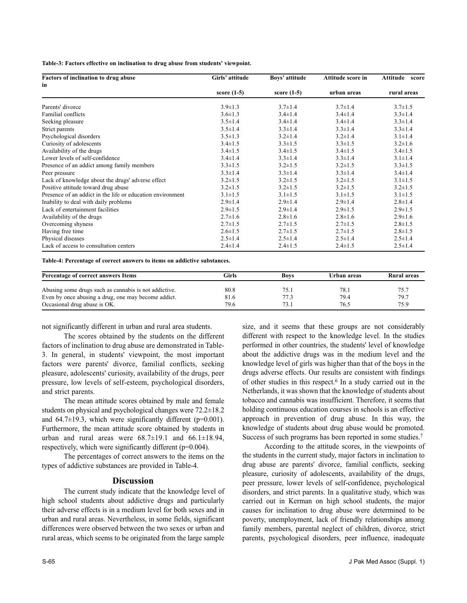**Table-3: Factors effective on inclination to drug abuse from students' viewpoint.**

| Factors of inclination to drug abuse                       | Girls' attitude | Boys' attitude | Attitude score in | Attitude score |  |  |
|------------------------------------------------------------|-----------------|----------------|-------------------|----------------|--|--|
| in                                                         |                 |                |                   |                |  |  |
|                                                            | score $(1-5)$   | score $(1-5)$  | urban areas       | rural areas    |  |  |
| Parents' divorce                                           | $3.9 \pm 1.3$   | $3.7 \pm 1.4$  | $3.7 \pm 1.4$     | $3.7 \pm 1.5$  |  |  |
| <b>Familial</b> conflicts                                  | $3.6 \pm 1.3$   | $3.4 \pm 1.4$  | $3.4 \pm 1.4$     | $3.3 \pm 1.4$  |  |  |
| Seeking pleasure                                           | $3.5 \pm 1.4$   | $3.4 \pm 1.4$  | $3.4 \pm 1.4$     | $3.3 \pm 1.4$  |  |  |
| Strict parents                                             | $3.5 \pm 1.4$   | $3.3 \pm 1.4$  | $3.3 \pm 1.4$     | $3.3 \pm 1.4$  |  |  |
| Psychological disorders                                    | $3.5 \pm 1.3$   | $3.2 \pm 1.4$  | $3.2 \pm 1.4$     | $3.1 \pm 1.4$  |  |  |
| Curiosity of adolescents                                   | $3.4 \pm 1.5$   | $3.3 \pm 1.5$  | $3.3 \pm 1.5$     | $3.2 \pm 1.6$  |  |  |
| Availability of the drugs                                  | $3.4 \pm 1.5$   | $3.4 \pm 1.5$  | $3.4 \pm 1.5$     | $3.4 \pm 1.5$  |  |  |
| Lower levels of self-confidence                            | $3.4 \pm 1.4$   | $3.3 \pm 1.4$  | $3.3 \pm 1.4$     | $3.1 \pm 1.4$  |  |  |
| Presence of an addict among family members                 | $3.3 \pm 1.5$   | $3.2 \pm 1.5$  | $3.2 \pm 1.5$     | $3.3 \pm 1.5$  |  |  |
| Peer pressure                                              | $3.3 \pm 1.4$   | $3.3 \pm 1.4$  | $3.3 \pm 1.4$     | $3.4 \pm 1.4$  |  |  |
| Lack of knowledge about the drugs' adverse effect          | $3.2 \pm 1.5$   | $3.2 \pm 1.5$  | $3.2 \pm 1.5$     | $3.1 \pm 1.5$  |  |  |
| Positive attitude toward drug abuse                        | $3.2 \pm 1.5$   | $3.2 \pm 1.5$  | $3.2 \pm 1.5$     | $3.2 \pm 1.5$  |  |  |
| Presence of an addict in the life or education environment | $3.1 \pm 1.5$   | $3.1 \pm 1.5$  | $3.1 \pm 1.5$     | $3.1 \pm 1.5$  |  |  |
| Inability to deal with daily problems                      | $2.9 \pm 1.4$   | $2.9 \pm 1.4$  | $2.9 \pm 1.4$     | $2.8 \pm 1.4$  |  |  |
| Lack of entertainment facilities                           | $2.9 \pm 1.5$   | $2.9 \pm 1.4$  | $2.9 \pm 1.5$     | $2.9 \pm 1.5$  |  |  |
| Availability of the drugs                                  | $2.7 \pm 1.6$   | $2.8 \pm 1.6$  | $2.8 \pm 1.6$     | $2.9 \pm 1.6$  |  |  |
| Overcoming shyness                                         | $2.7 \pm 1.5$   | $2.7 \pm 1.5$  | $2.7 \pm 1.5$     | $2.8 \pm 1.5$  |  |  |
| Having free time                                           | $2.6 \pm 1.5$   | $2.7 \pm 1.5$  | $2.7 \pm 1.5$     | $2.8 \pm 1.5$  |  |  |
| Physical diseases                                          | $2.5 \pm 1.4$   | $2.5 \pm 1.4$  | $2.5 \pm 1.4$     | $2.5 \pm 1.4$  |  |  |
| Lack of access to consultation centers                     | $2.4 \pm 1.4$   | $2.4 \pm 1.5$  | $2.4 \pm 1.5$     | $2.5 \pm 1.4$  |  |  |

**Table-4: Percentage of correct answers to items on addictive substances.**

| Percentage of correct answers Items                   | Girls | <b>Boys</b> | Urban areas | Rural areas |  |
|-------------------------------------------------------|-------|-------------|-------------|-------------|--|
| Abusing some drugs such as cannabis is not addictive. | 80.8  | 75.1        | 78.1        | 75.7        |  |
| Even by once abusing a drug, one may become addict.   | 81.6  | 77.3        | 79.4        | 79.7        |  |
| Occasional drug abuse is OK.                          | 79.6  | 73.1        | 76.5        | 75.9        |  |

not significantly different in urban and rural area students.

The scores obtained by the students on the different factors of inclination to drug abuse are demonstrated in Table-3. In general, in students' viewpoint, the most important factors were parents' divorce, familial conflicts, seeking pleasure, adolescents' curiosity, availability of the drugs, peer pressure, low levels of self-esteem, psychological disorders, and strict parents.

The mean attitude scores obtained by male and female students on physical and psychological changes were 72.2±18.2 and  $64.7\pm19.3$ , which were significantly different (p=0.001). Furthermore, the mean attitude score obtained by students in urban and rural areas were  $68.7\pm19.1$  and  $66.1\pm18.94$ , respectively, which were significantly different (p=0.004).

The percentages of correct answers to the items on the types of addictive substances are provided in Table-4.

# **Discussion**

The current study indicate that the knowledge level of high school students about addictive drugs and particularly their adverse effects is in a medium level for both sexes and in urban and rural areas. Nevertheless, in some fields, significant differences were observed between the two sexes or urban and rural areas, which seems to be originated from the large sample size, and it seems that these groups are not considerably different with respect to the knowledge level. In the studies performed in other countries, the students' level of knowledge about the addictive drugs was in the medium level and the knowledge level of girls was higher than that of the boys in the drugs adverse effects. Our results are consistent with findings of other studies in this respect.<sup>6</sup> In a study carried out in the Netherlands, it was shown that the knowledge of students about tobacco and cannabis was insufficient. Therefore, it seems that holding continuous education courses in schools is an effective approach in prevention of drug abuse. In this way, the knowledge of students about drug abuse would be promoted. Success of such programs has been reported in some studies.<sup>7</sup>

According to the attitude scores, in the viewpoints of the students in the current study, major factors in inclination to drug abuse are parents' divorce, familial conflicts, seeking pleasure, curiosity of adolescents, availability of the drugs, peer pressure, lower levels of self-confidence, psychological disorders, and strict parents. In a qualitative study, which was carried out in Kerman on high school students, the major causes for inclination to drug abuse were determined to be poverty, unemployment, lack of friendly relationships among family members, parental neglect of children, divorce, strict parents, psychological disorders, peer influence, inadequate